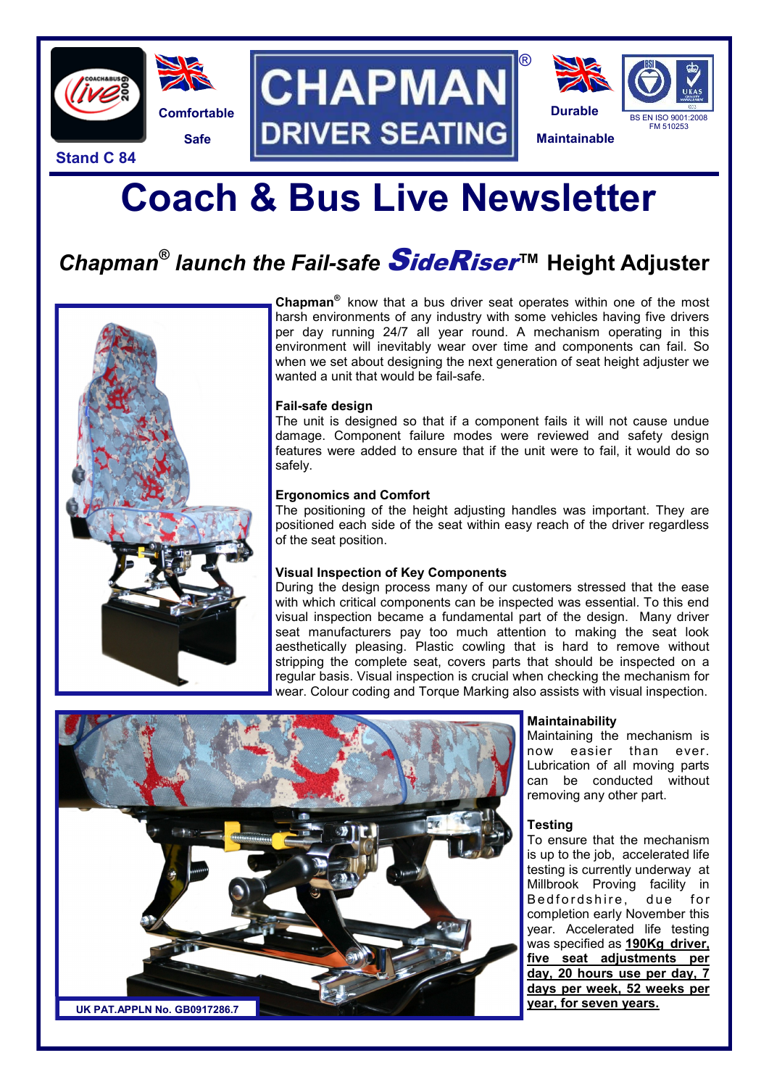

**Stand C 84**







# **Coach & Bus Live Newsletter**

### *Chapman® launch the Fail-safe* SideRiser**™ Height Adjuster**



**Chapman®** know that a bus driver seat operates within one of the most harsh environments of any industry with some vehicles having five drivers per day running 24/7 all year round. A mechanism operating in this environment will inevitably wear over time and components can fail. So when we set about designing the next generation of seat height adjuster we wanted a unit that would be fail-safe.

®

#### **Fail-safe design**

The unit is designed so that if a component fails it will not cause undue damage. Component failure modes were reviewed and safety design features were added to ensure that if the unit were to fail, it would do so safely.

#### **Ergonomics and Comfort**

The positioning of the height adjusting handles was important. They are positioned each side of the seat within easy reach of the driver regardless of the seat position.

#### **Visual Inspection of Key Components**

During the design process many of our customers stressed that the ease with which critical components can be inspected was essential. To this end visual inspection became a fundamental part of the design. Many driver seat manufacturers pay too much attention to making the seat look aesthetically pleasing. Plastic cowling that is hard to remove without stripping the complete seat, covers parts that should be inspected on a regular basis. Visual inspection is crucial when checking the mechanism for wear. Colour coding and Torque Marking also assists with visual inspection.



#### **Maintainability**

Maintaining the mechanism is now easier than ever. Lubrication of all moving parts can be conducted without removing any other part.

#### **Testing**

To ensure that the mechanism is up to the job, accelerated life testing is currently underway at Millbrook Proving facility in Bedfordshire, due for completion early November this year. Accelerated life testing was specified as **190Kg driver, five seat adjustments per day, 20 hours use per day, 7 days per week, 52 weeks per year, for seven years.**